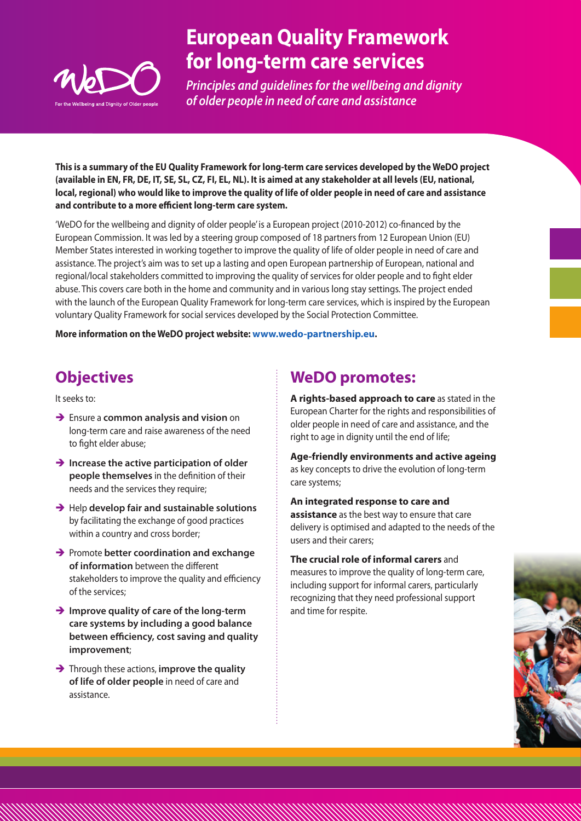

# **European Quality Framework for long-term care services**

*Principles and guidelines for the wellbeing and dignity of older people in need of care and assistance*

**This is a summary of the EU Quality Framework for long-term care services developed by the WeDO project (available in EN, FR, DE, IT, SE, SL, CZ, FI, EL, NL). It is aimed at any stakeholder at all levels (EU, national, local, regional) who would like to improve the quality of life of older people in need of care and assistance and contribute to a more efficient long-term care system.** 

'WeDO for the wellbeing and dignity of older people' is a European project (2010-2012) co-financed by the European Commission. It was led by a steering group composed of 18 partners from 12 European Union (EU) Member States interested in working together to improve the quality of life of older people in need of care and assistance. The project's aim was to set up a lasting and open European partnership of European, national and regional/local stakeholders committed to improving the quality of services for older people and to fight elder abuse. This covers care both in the home and community and in various long stay settings. The project ended with the launch of the European Quality Framework for long-term care services, which is inspired by the European voluntary Quality Framework for social services developed by the Social Protection Committee.

**More information on the WeDO project website: www.wedo-partnership.eu.**

## **Objectives**

It seeks to:

- **→** Ensure a **common analysis and vision** on long-term care and raise awareness of the need to fight elder abuse;
- $\rightarrow$  Increase the active participation of older **people themselves** in the definition of their needs and the services they require;
- **→** Help develop fair and sustainable solutions by facilitating the exchange of good practices within a country and cross border;
- **→** Promote better coordination and exchange **of information** between the different stakeholders to improve the quality and efficiency of the services;
- **→ Improve quality of care of the long-term care systems by including a good balance between efficiency, cost saving and quality improvement**;
- **→** Through these actions, **improve the quality of life of older people** in need of care and assistance.

## **WeDO promotes:**

**A rights-based approach to care** as stated in the European Charter for the rights and responsibilities of older people in need of care and assistance, and the right to age in dignity until the end of life;

**Age-friendly environments and active ageing** as key concepts to drive the evolution of long-term care systems;

**An integrated response to care and assistance** as the best way to ensure that care delivery is optimised and adapted to the needs of the users and their carers;

**The crucial role of informal carers** and measures to improve the quality of long-term care, including support for informal carers, particularly recognizing that they need professional support and time for respite.

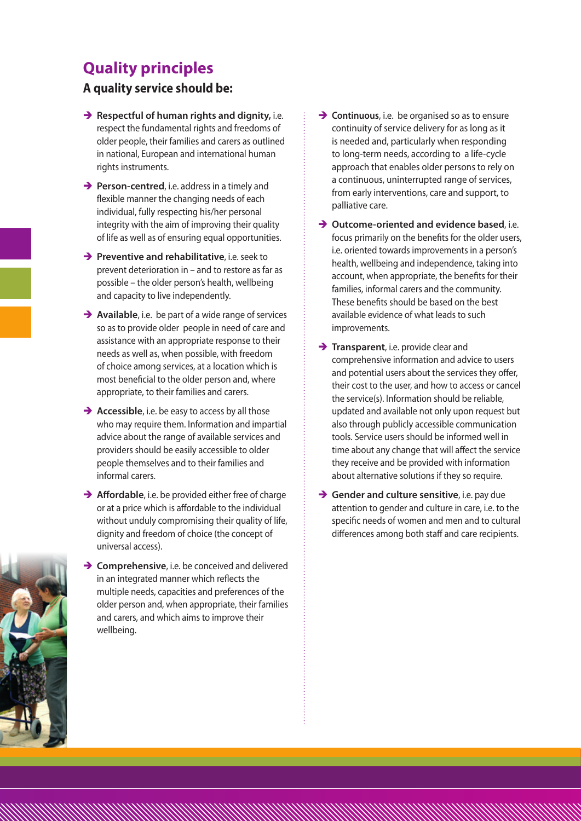## **Quality principles**

### **A quality service should be:**

- $\rightarrow$  **Respectful of human rights and dignity, i.e.** respect the fundamental rights and freedoms of older people, their families and carers as outlined in national, European and international human rights instruments.
- **→ Person-centred**, i.e. address in a timely and flexible manner the changing needs of each individual, fully respecting his/her personal integrity with the aim of improving their quality of life as well as of ensuring equal opportunities.
- **→ Preventive and rehabilitative**, i.e. seek to prevent deterioration in – and to restore as far as possible – the older person's health, wellbeing and capacity to live independently.
- **→ Available**, i.e. be part of a wide range of services so as to provide older people in need of care and assistance with an appropriate response to their needs as well as, when possible, with freedom of choice among services, at a location which is most beneficial to the older person and, where appropriate, to their families and carers.
- **→ Accessible**, i.e. be easy to access by all those who may require them. Information and impartial advice about the range of available services and providers should be easily accessible to older people themselves and to their families and informal carers.
- **→ Affordable**, i.e. be provided either free of charge or at a price which is affordable to the individual without unduly compromising their quality of life, dignity and freedom of choice (the concept of universal access).
- **Example 1** Comprehensive, i.e. be conceived and delivered in an integrated manner which reflects the multiple needs, capacities and preferences of the older person and, when appropriate, their families and carers, and which aims to improve their wellbeing.
- **→ Continuous**, i.e. be organised so as to ensure continuity of service delivery for as long as it is needed and, particularly when responding to long-term needs, according to a life-cycle approach that enables older persons to rely on a continuous, uninterrupted range of services, from early interventions, care and support, to palliative care.
- **→ Outcome-oriented and evidence based**, i.e. focus primarily on the benefits for the older users, i.e. oriented towards improvements in a person's health, wellbeing and independence, taking into account, when appropriate, the benefits for their families, informal carers and the community. These benefits should be based on the best available evidence of what leads to such improvements.
- **Transparent**, i.e. provide clear and comprehensive information and advice to users and potential users about the services they offer, their cost to the user, and how to access or cancel the service(s). Information should be reliable, updated and available not only upon request but also through publicly accessible communication tools. Service users should be informed well in time about any change that will affect the service they receive and be provided with information about alternative solutions if they so require.
- $\rightarrow$  **Gender and culture sensitive**, i.e. pay due attention to gender and culture in care, i.e. to the specific needs of women and men and to cultural differences among both staff and care recipients.

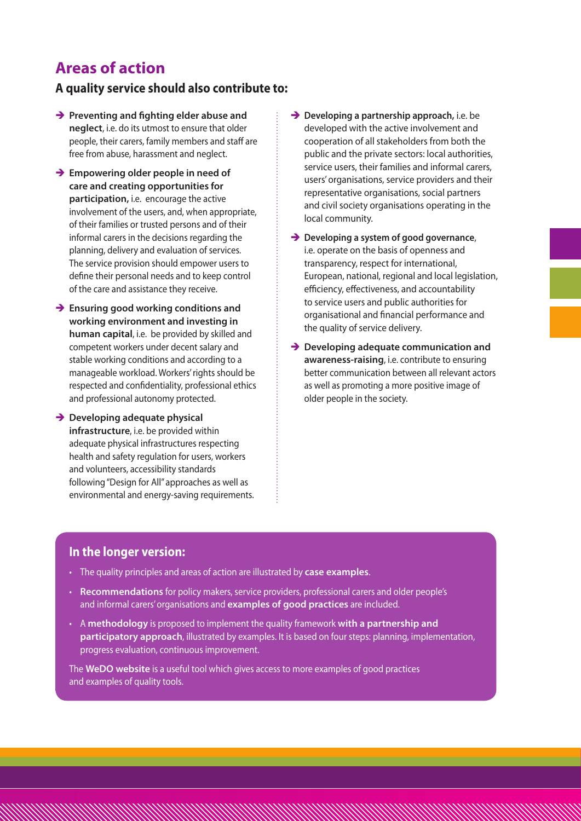## **Areas of action**

#### **A quality service should also contribute to:**

- **→** Preventing and fighting elder abuse and **neglect**, i.e. do its utmost to ensure that older people, their carers, family members and staff are free from abuse, harassment and neglect.
- **→ Empowering older people in need of care and creating opportunities for participation,** i.e. encourage the active involvement of the users, and, when appropriate, of their families or trusted persons and of their informal carers in the decisions regarding the planning, delivery and evaluation of services. The service provision should empower users to define their personal needs and to keep control of the care and assistance they receive.
- $\rightarrow$  **Ensuring good working conditions and working environment and investing in human capital**, i.e. be provided by skilled and competent workers under decent salary and stable working conditions and according to a manageable workload. Workers' rights should be respected and confidentiality, professional ethics and professional autonomy protected.
- $\rightarrow$  **Developing adequate physical infrastructure**, i.e. be provided within adequate physical infrastructures respecting health and safety regulation for users, workers and volunteers, accessibility standards following "Design for All" approaches as well as environmental and energy-saving requirements.
- **→ Developing a partnership approach, i.e. be** developed with the active involvement and cooperation of all stakeholders from both the public and the private sectors: local authorities, service users, their families and informal carers, users' organisations, service providers and their representative organisations, social partners and civil society organisations operating in the local community.
- **→** Developing a system of good governance, i.e. operate on the basis of openness and transparency, respect for international, European, national, regional and local legislation, efficiency, effectiveness, and accountability to service users and public authorities for organisational and financial performance and the quality of service delivery.
- $\rightarrow$  Developing adequate communication and **awareness-raising**, i.e. contribute to ensuring better communication between all relevant actors as well as promoting a more positive image of older people in the society.

#### **In the longer version:**

- • The quality principles and areas of action are illustrated by **case examples**.
- • **Recommendations** for policy makers, service providers, professional carers and older people's and informal carers' organisations and **examples of good practices** are included.
- • A **methodology** is proposed to implement the quality framework **with a partnership and participatory approach**, illustrated by examples. It is based on four steps: planning, implementation, progress evaluation, continuous improvement.

The **WeDO website** is a useful tool which gives access to more examples of good practices and examples of quality tools.